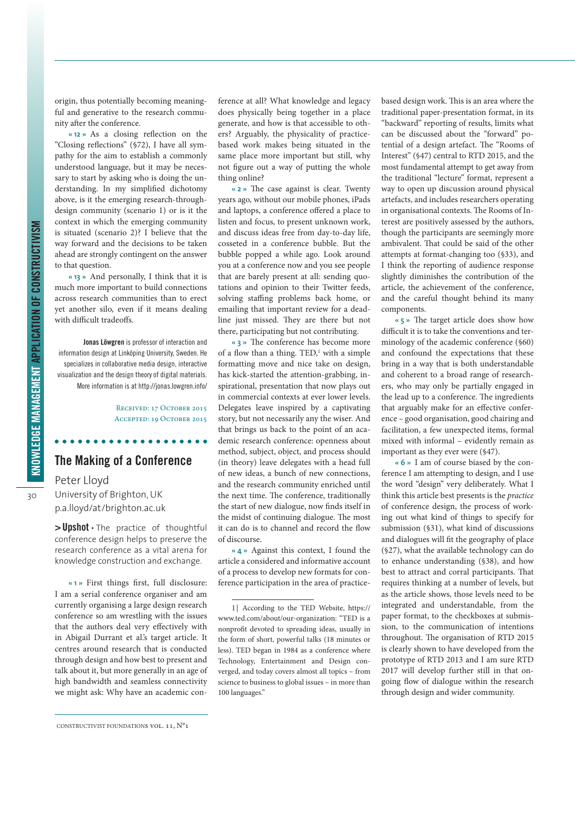origin, thus potentially becoming meaningful and generative to the research community after the conference.

**« 12 »** As a closing reflection on the "Closing reflections" (§72), I have all sympathy for the aim to establish a commonly understood language, but it may be necessary to start by asking who is doing the understanding. In my simplified dichotomy above, is it the emerging research-throughdesign community (scenario 1) or is it the context in which the emerging community is situated (scenario 2)? I believe that the way forward and the decisions to be taken ahead are strongly contingent on the answer to that question.

**« 13 »** And personally, I think that it is much more important to build connections across research communities than to erect yet another silo, even if it means dealing with difficult tradeoffs.

**Jonas Löwgren** is professor of interaction and information design at Linköping University, Sweden. He specializes in collaborative media design, interactive visualization and the design theory of digital materials. More information is at<http://jonas.lowgren.info/>

> Received: 17 October 2015 Accepted: 19 October 2015

## **The Making of a Conference**

## Peter Lloyd

University of Brighton, UK p.a.lloyd/at/brighton.ac.uk

**> Upshot** • The practice of thoughtful conference design helps to preserve the research conference as a vital arena for knowledge construction and exchange.

**« 1 »** First things first, full disclosure: I am a serial conference organiser and am currently organising a large design research conference so am wrestling with the issues that the authors deal very effectively with in Abigail Durrant et al.'s target article. It centres around research that is conducted through design and how best to present and talk about it, but more generally in an age of high bandwidth and seamless connectivity we might ask: Why have an academic con-

ference at all? What knowledge and legacy does physically being together in a place generate, and how is that accessible to others? Arguably, the physicality of practicebased work makes being situated in the same place more important but still, why not figure out a way of putting the whole thing online?

**« 2 »** The case against is clear. Twenty years ago, without our mobile phones, iPads and laptops, a conference offered a place to listen and focus, to present unknown work, and discuss ideas free from day-to-day life, cosseted in a conference bubble. But the bubble popped a while ago. Look around you at a conference now and you see people that are barely present at all: sending quotations and opinion to their Twitter feeds, solving staffing problems back home, or emailing that important review for a deadline just missed. They are there but not there, participating but not contributing.

**« 3 »** The conference has become more of a flow than a thing. TED, 1 with a simple formatting move and nice take on design, has kick-started the attention-grabbing, inspirational, presentation that now plays out in commercial contexts at ever lower levels. Delegates leave inspired by a captivating story, but not necessarily any the wiser. And that brings us back to the point of an academic research conference: openness about method, subject, object, and process should (in theory) leave delegates with a head full of new ideas, a bunch of new connections, and the research community enriched until the next time. The conference, traditionally the start of new dialogue, now finds itself in the midst of continuing dialogue. The most it can do is to channel and record the flow of discourse.

**« 4 »** Against this context, I found the article a considered and informative account of a process to develop new formats for conference participation in the area of practicebased design work. This is an area where the traditional paper-presentation format, in its "backward" reporting of results, limits what can be discussed about the "forward" potential of a design artefact. The "Rooms of Interest" (§47) central to RTD 2015, and the most fundamental attempt to get away from the traditional "lecture" format, represent a way to open up discussion around physical artefacts, and includes researchers operating in organisational contexts. The Rooms of Interest are positively assessed by the authors, though the participants are seemingly more ambivalent. That could be said of the other attempts at format-changing too (§33), and I think the reporting of audience response slightly diminishes the contribution of the article, the achievement of the conference, and the careful thought behind its many components.

**« 5 »** The target article does show how difficult it is to take the conventions and terminology of the academic conference (§60) and confound the expectations that these bring in a way that is both understandable and coherent to a broad range of researchers, who may only be partially engaged in the lead up to a conference. The ingredients that arguably make for an effective conference – good organisation, good chairing and facilitation, a few unexpected items, formal mixed with informal – evidently remain as important as they ever were (§47).

**« 6 »** I am of course biased by the conference I am attempting to design, and I use the word "design" very deliberately. What I think this article best presents is the *practice* of conference design, the process of working out what kind of things to specify for submission (§31), what kind of discussions and dialogues will fit the geography of place (§27), what the available technology can do to enhance understanding (§38), and how best to attract and corral participants. That requires thinking at a number of levels, but as the article shows, those levels need to be integrated and understandable, from the paper format, to the checkboxes at submission, to the communication of intentions throughout. The organisation of RTD 2015 is clearly shown to have developed from the prototype of RTD 2013 and I am sure RTD 2017 will develop further still in that ongoing flow of dialogue within the research through design and wider community.

Constructivist Foundations vol. 11, N°1

<sup>1</sup> | According to the TED Website, [https://](https://www.ted.com/about/our-organization) [www.ted.com/about/our-organization](https://www.ted.com/about/our-organization): "TED is a nonprofit devoted to spreading ideas, usually in the form of short, powerful talks (18 minutes or less). TED began in 1984 as a conference where Technology, Entertainment and Design converged, and today covers almost all topics – from science to business to global issues – in more than 100 languages."